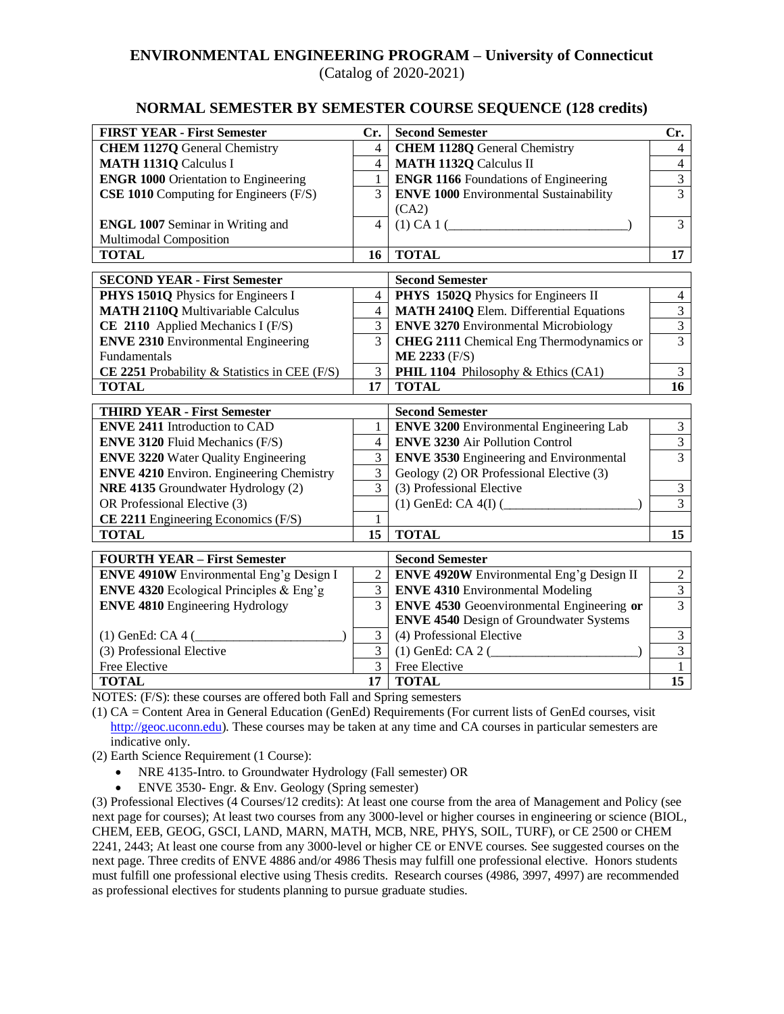# **ENVIRONMENTAL ENGINEERING PROGRAM – University of Connecticut**

(Catalog of 2020-2021)

### **NORMAL SEMESTER BY SEMESTER COURSE SEQUENCE (128 credits)**

| <b>FIRST YEAR - First Semester</b>              | Cr.            | <b>Second Semester</b>                           | Cr.                     |
|-------------------------------------------------|----------------|--------------------------------------------------|-------------------------|
| <b>CHEM 1127Q General Chemistry</b>             | $\overline{4}$ | <b>CHEM 1128Q</b> General Chemistry              | $\overline{4}$          |
| <b>MATH 1131Q Calculus I</b>                    | $\overline{4}$ | <b>MATH 1132Q Calculus II</b>                    | $\overline{4}$          |
| <b>ENGR 1000 Orientation to Engineering</b>     | 1              | <b>ENGR 1166</b> Foundations of Engineering      | $\overline{3}$          |
| <b>CSE 1010</b> Computing for Engineers (F/S)   | 3              | <b>ENVE 1000 Environmental Sustainability</b>    | $\overline{3}$          |
|                                                 |                | (CA2)                                            |                         |
| <b>ENGL 1007 Seminar in Writing and</b>         | $\overline{4}$ | (1) CA 1 (                                       | $\overline{3}$          |
| Multimodal Composition                          |                |                                                  |                         |
| <b>TOTAL</b>                                    | 16             | <b>TOTAL</b>                                     | $\overline{17}$         |
| <b>SECOND YEAR - First Semester</b>             |                | <b>Second Semester</b>                           |                         |
| PHYS 1501Q Physics for Engineers I              | 4              | PHYS 1502Q Physics for Engineers II              | $\overline{4}$          |
| <b>MATH 2110Q Multivariable Calculus</b>        | 4              | <b>MATH 2410Q Elem. Differential Equations</b>   | $\overline{3}$          |
| CE 2110 Applied Mechanics I (F/S)               | 3              | <b>ENVE 3270 Environmental Microbiology</b>      | $\overline{3}$          |
| <b>ENVE 2310 Environmental Engineering</b>      | 3              | <b>CHEG 2111</b> Chemical Eng Thermodynamics or  | $\overline{3}$          |
| Fundamentals                                    |                | <b>ME 2233 (F/S)</b>                             |                         |
| CE 2251 Probability & Statistics in CEE (F/S)   | 3              | PHIL 1104 Philosophy & Ethics (CA1)              | 3                       |
| <b>TOTAL</b>                                    | 17             | <b>TOTAL</b>                                     | 16                      |
| <b>THIRD YEAR - First Semester</b>              |                | <b>Second Semester</b>                           |                         |
| <b>ENVE 2411 Introduction to CAD</b>            | $\mathbf{1}$   | <b>ENVE 3200</b> Environmental Engineering Lab   | $\overline{\mathbf{3}}$ |
| <b>ENVE 3120 Fluid Mechanics (F/S)</b>          | $\overline{4}$ | <b>ENVE 3230 Air Pollution Control</b>           | $\overline{3}$          |
| <b>ENVE 3220 Water Quality Engineering</b>      | 3              | <b>ENVE 3530 Engineering and Environmental</b>   | $\overline{3}$          |
| <b>ENVE 4210 Environ. Engineering Chemistry</b> | 3              | Geology (2) OR Professional Elective (3)         |                         |
| NRE 4135 Groundwater Hydrology (2)              | $\overline{3}$ | (3) Professional Elective                        | $\mathfrak{Z}$          |
| OR Professional Elective (3)                    |                | $(1)$ GenEd: CA 4(I) $($                         | $\overline{3}$          |
| CE 2211 Engineering Economics (F/S)             | 1              |                                                  |                         |
| <b>TOTAL</b>                                    | 15             | <b>TOTAL</b>                                     | 15                      |
| <b>FOURTH YEAR - First Semester</b>             |                | <b>Second Semester</b>                           |                         |
| <b>ENVE 4910W</b> Environmental Eng'g Design I  | $\overline{2}$ | <b>ENVE 4920W</b> Environmental Eng'g Design II  | $\boldsymbol{2}$        |
| <b>ENVE 4320</b> Ecological Principles & Eng'g  | 3              | <b>ENVE 4310 Environmental Modeling</b>          | $\overline{3}$          |
| <b>ENVE 4810 Engineering Hydrology</b>          | $\overline{3}$ | <b>ENVE 4530</b> Geoenvironmental Engineering or | $\overline{3}$          |
|                                                 |                | <b>ENVE 4540</b> Design of Groundwater Systems   |                         |
| $(1)$ GenEd: CA 4 $($                           | 3              | (4) Professional Elective                        | $\mathfrak{Z}$          |
| (3) Professional Elective                       | $\overline{3}$ | $(1)$ GenEd: CA 2 $($                            | $\overline{\mathbf{3}}$ |
| Free Elective                                   | $\overline{3}$ | Free Elective                                    | $\mathbf{1}$            |
| <b>TOTAL</b>                                    | 17             | <b>TOTAL</b>                                     | 15                      |

NOTES: (F/S): these courses are offered both Fall and Spring semesters

(1) CA = Content Area in General Education (GenEd) Requirements (For current lists of GenEd courses, visit [http://geoc.uconn.edu\)](http://geoc.uconn.edu/). These courses may be taken at any time and CA courses in particular semesters are indicative only.

- (2) Earth Science Requirement (1 Course):
	- NRE 4135-Intro. to Groundwater Hydrology (Fall semester) OR
	- ENVE 3530- Engr. & Env. Geology (Spring semester)

(3) Professional Electives (4 Courses/12 credits): At least one course from the area of Management and Policy (see next page for courses); At least two courses from any 3000-level or higher courses in engineering or science (BIOL, CHEM, EEB, GEOG, GSCI, LAND, MARN, MATH, MCB, NRE, PHYS, SOIL, TURF), or CE 2500 or CHEM 2241, 2443; At least one course from any 3000-level or higher CE or ENVE courses. See suggested courses on the next page. Three credits of ENVE 4886 and/or 4986 Thesis may fulfill one professional elective. Honors students must fulfill one professional elective using Thesis credits. Research courses (4986, 3997, 4997) are recommended as professional electives for students planning to pursue graduate studies.